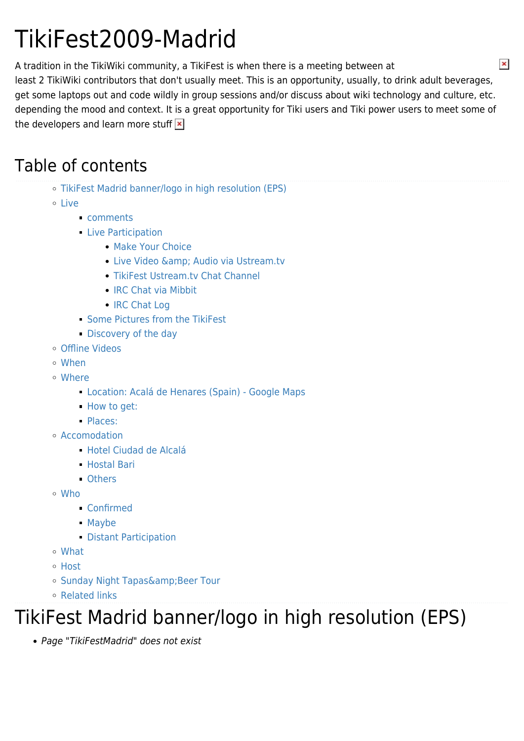# TikiFest2009-Madrid

A tradition in the TikiWiki community, a TikiFest is when there is a meeting between at least 2 TikiWiki contributors that don't usually meet. This is an opportunity, usually, to drink adult beverages, get some laptops out and code wildly in group sessions and/or discuss about wiki technology and culture, etc. depending the mood and context. It is a great opportunity for Tiki users and Tiki power users to meet some of the developers and learn more stuff  $\vert x \vert$ 

#### Table of contents

- [TikiFest Madrid banner/logo in high resolution \(EPS\)](#page--1-0)
- [Live](#page--1-0)
	- [comments](#page--1-0)
	- **[Live Participation](#page--1-0)** 
		- [Make Your Choice](#page--1-0)
		- Live Video & amp; Audio via Ustream.tv
		- [TikiFest Ustream.tv Chat Channel](#page--1-0)
		- [IRC Chat via Mibbit](#page--1-0)
		- [IRC Chat Log](#page--1-0)
	- [Some Pictures from the TikiFest](#page--1-0)
	- **[Discovery of the day](#page--1-0)**
- [Offline Videos](#page--1-0)
- [When](#page--1-0)
- [Where](#page--1-0)
	- [Location: Acalá de Henares \(Spain\) Google Maps](#page--1-0)
	- [How to get:](#page--1-0)
	- [Places:](#page--1-0)
- [Accomodation](#page--1-0)
	- [Hotel Ciudad de Alcalá](#page--1-0)
	- [Hostal Bari](#page--1-0)
	- [Others](#page--1-0)
- [Who](#page--1-0)
	- [Confirmed](#page--1-0)
	- [Maybe](#page--1-0)
	- **[Distant Participation](#page--1-0)**
- [What](#page--1-0)
- [Host](#page--1-0)
- o Sunday Night Tapas& Beer Tour
- [Related links](#page--1-0)

### TikiFest Madrid banner/logo in high resolution (EPS)

Page "TikiFestMadrid" does not exist

 $\pmb{\times}$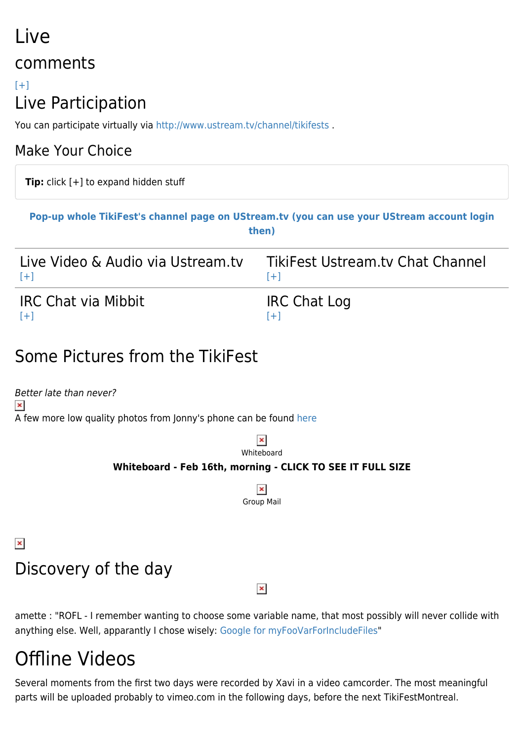## Live comments

#### $[+]$ Live Participation

You can participate virtually via http://www.ustream.tv/channel/tikifests.

#### Make Your Choice

**Tip:** click [+] to expand hidden stuff

#### **[Pop-up whole TikiFest's channel page on UStream.tv \(you can use your UStream account login](http://www.ustream.tv/channel/tikifests) [then\)](http://www.ustream.tv/channel/tikifests)**

| Live Video & Audio via Ustream.tv | TikiFest Ustream.ty Chat Channel |
|-----------------------------------|----------------------------------|
| $[+]$                             | $[+1]$                           |
| <b>IRC Chat via Mibbit</b>        | <b>IRC Chat Log</b>              |
| $[+]$                             | $[+]$                            |

#### Some Pictures from the TikiFest

Better late than never?  $\pmb{\times}$ A few more low quality photos from Jonny's phone can be found [here](http://tikiwiki.org/tiki-browse_gallery.php?galleryId=38)

> $\pmb{\times}$ Whiteboard

#### **Whiteboard - Feb 16th, morning - CLICK TO SEE IT FULL SIZE**

 $\pmb{\times}$ Group Mail

#### $\pmb{\times}$

### Discovery of the day

 $\pmb{\times}$ 

amette : "ROFL - I remember wanting to choose some variable name, that most possibly will never collide with anything else. Well, apparantly I chose wisely: [Google for myFooVarForIncludeFiles](http://www.google.de/search?q=myfoovarforincludefiles)"

## Offline Videos

Several moments from the first two days were recorded by Xavi in a video camcorder. The most meaningful parts will be uploaded probably to vimeo.com in the following days, before the next TikiFestMontreal.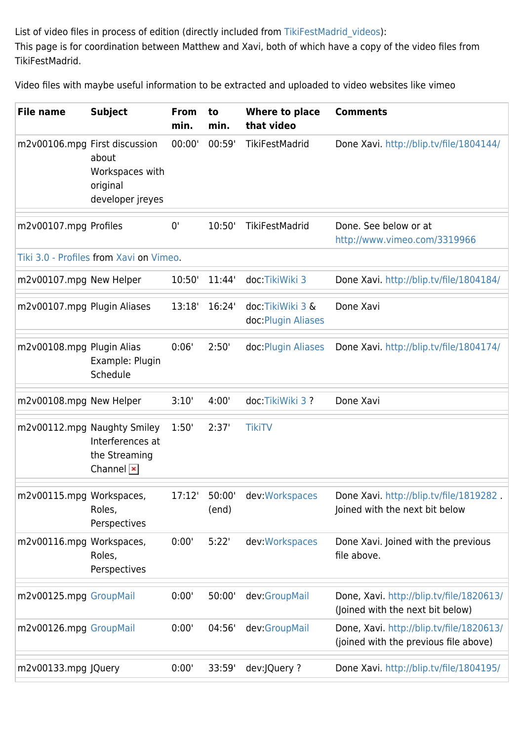List of video files in process of edition (directly included from [TikiFestMadrid\\_videos](https://tiki.org/TikiFestMadrid_videos)): This page is for coordination between Matthew and Xavi, both of which have a copy of the video files from TikiFestMadrid.

Video files with maybe useful information to be extracted and uploaded to video websites like vimeo

| <b>File name</b>            | <b>Subject</b>                                                                              | <b>From</b><br>min. | to<br>min.      | Where to place<br>that video            | <b>Comments</b>                                                                   |
|-----------------------------|---------------------------------------------------------------------------------------------|---------------------|-----------------|-----------------------------------------|-----------------------------------------------------------------------------------|
|                             | m2v00106.mpg First discussion<br>about<br>Workspaces with<br>original<br>developer jreyes   | 00:00'              | 00:59'          | TikiFestMadrid                          | Done Xavi. http://blip.tv/file/1804144/                                           |
| m2v00107.mpg Profiles       |                                                                                             | 0'                  | 10:50'          | TikiFestMadrid                          | Done. See below or at<br>http://www.vimeo.com/3319966                             |
|                             | Tiki 3.0 - Profiles from Xavi on Vimeo.                                                     |                     |                 |                                         |                                                                                   |
| m2v00107.mpg New Helper     |                                                                                             | 10:50'              | 11:44'          | doc:TikiWiki 3                          | Done Xavi. http://blip.tv/file/1804184/                                           |
| m2v00107.mpg Plugin Aliases |                                                                                             | 13:18'              | 16:24'          | doc TikiWiki 3 &<br>doc: Plugin Aliases | Done Xavi                                                                         |
| m2v00108.mpg Plugin Alias   | Example: Plugin<br>Schedule                                                                 | 0:06'               | 2:50'           | doc Plugin Aliases                      | Done Xavi. http://blip.tv/file/1804174/                                           |
| m2v00108.mpg New Helper     |                                                                                             | 3:10'               | 4:00'           | doc TikiWiki 3?                         | Done Xavi                                                                         |
|                             | m2v00112.mpg Naughty Smiley<br>Interferences at<br>the Streaming<br>Channel $\vert x \vert$ | 1:50'               | 2:37'           | <b>TikiTV</b>                           |                                                                                   |
| m2v00115.mpg Workspaces,    | Roles,<br>Perspectives                                                                      | 17:12'              | 50:00'<br>(end) | dev:Workspaces                          | Done Xavi. http://blip.tv/file/1819282.<br>Joined with the next bit below         |
| m2v00116.mpg Workspaces,    | Roles,<br>Perspectives                                                                      | 0:00'               | 5:22'           | dev: Workspaces                         | Done Xavi. Joined with the previous<br>file above.                                |
| m2v00125.mpg GroupMail      |                                                                                             | 0:00'               | 50:00'          | dev:GroupMail                           | Done, Xavi. http://blip.tv/file/1820613/<br>(Joined with the next bit below)      |
| m2v00126.mpg GroupMail      |                                                                                             | 0:00'               | 04:56'          | dev:GroupMail                           | Done, Xavi. http://blip.tv/file/1820613/<br>(joined with the previous file above) |
| m2v00133.mpg JQuery         |                                                                                             | 0:00'               | 33:59'          | dev:JQuery ?                            | Done Xavi. http://blip.tv/file/1804195/                                           |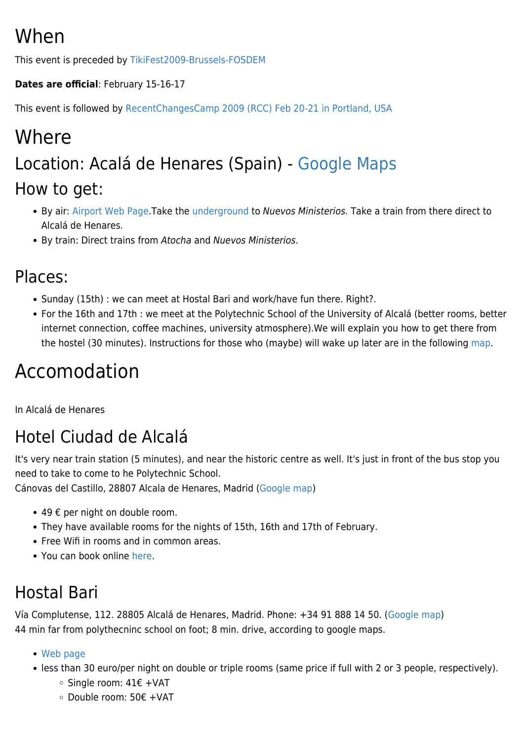## When

This event is preceded by [TikiFest2009-Brussels-FOSDEM](https://tiki.org/TikiFest2009-Brussels-FOSDEM)

#### **Dates are official**: February 15-16-17

This event is followed by [RecentChangesCamp 2009 \(RCC\) Feb 20-21 in Portland, USA](http://2009rcc.org/)

## Where Location: Acalá de Henares (Spain) - [Google Maps](http://maps.google.com/maps/ms?ie=UTF8&hl=en&msa=0&msid=107916600628325845034.00045e511ff7f403cce81&ll=40.491218,-3.35289&spn=0.071802,0.181789&t=h&z=13) How to get:

- By air: [Airport Web Page.](http://www.aena.es/csee/Satellite?cid=1049727006353&pagename=Aeropuerto_MAD&SiteName=MAD&c=Page&Language=EN_GB)Take the [underground](http://www.aena.es/csee/Satellite?cid=1049727006269&pagename=subHome&Language=EN_GB&SMO=1&SiteName=MAD&p=1049727006245&c=Page&MO=1) to Nuevos Ministerios. Take a train from there direct to Alcalá de Henares.
- By train: Direct trains from Atocha and Nuevos Ministerios.

#### Places:

- Sunday (15th) : we can meet at Hostal Bari and work/have fun there. Right?.
- For the 16th and 17th : we meet at the Polytechnic School of the University of Alcalá (better rooms, better internet connection, coffee machines, university atmosphere).We will explain you how to get there from the hostel (30 minutes). Instructions for those who (maybe) will wake up later are in the following [map](http://maps.google.com/maps/ms?ie=UTF8&hl=en&msa=0&msid=107916600628325845034.00045e511ff7f403cce81&ll=40.491218,-3.35289&spn=0.071802,0.181789&t=h&z=13).

## Accomodation

In Alcalá de Henares

### Hotel Ciudad de Alcalá

It's very near train station (5 minutes), and near the historic centre as well. It's just in front of the bus stop you need to take to come to he Polytechnic School.

Cánovas del Castillo, 28807 Alcala de Henares, Madrid [\(Google map](http://maps.google.com/maps/ms?ie=UTF8&hl=en&msa=0&msid=107916600628325845034.00045e511ff7f403cce81&ll=40.491218,-3.35289&spn=0.071802,0.181789&t=h&z=13))

- 49  $€$  per night on double room.
- They have available rooms for the nights of 15th, 16th and 17th of February.
- Free Wifi in rooms and in common areas.
- You can book online [here.](http://www.booking.com/hotels/hotel/es/ciudad-de-alcala.html?sid=ef0010b3a0be31bb45c96fbe90e28c26;checkin=2009-02-15;checkout=2009-02-18)

#### Hostal Bari

Vía Complutense, 112. 28805 Alcalá de Henares, Madrid. Phone: +34 91 888 14 50. ([Google map\)](http://maps.google.com/maps/ms?ie=UTF8&hl=en&msa=0&msid=107916600628325845034.00045e511ff7f403cce81&ll=40.491218,-3.35289&spn=0.071802,0.181789&t=h&z=13) 44 min far from polythecninc school on foot; 8 min. drive, according to google maps.

- [Web page](http://www.hostalalcala.es/servicios/index.php?lang=eng)
- less than 30 euro/per night on double or triple rooms (same price if full with 2 or 3 people, respectively).
	- Single room: 41€ +VAT
	- Double room: 50€ +VAT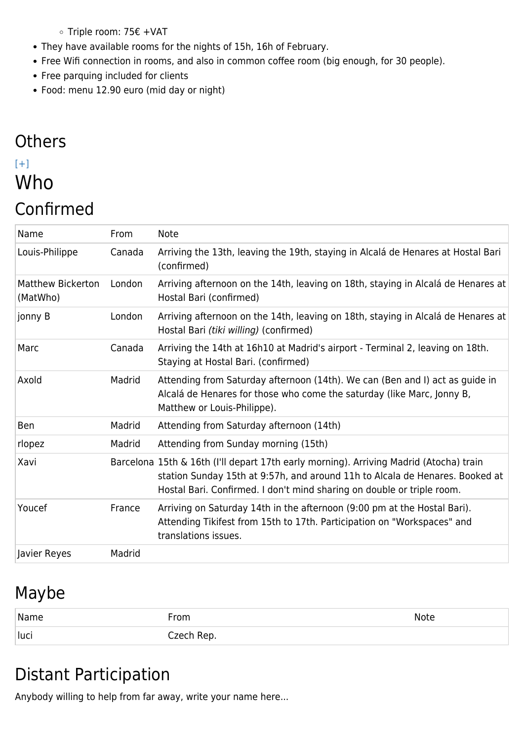- Triple room: 75€ +VAT
- They have available rooms for the nights of 15h, 16h of February.
- Free Wifi connection in rooms, and also in common coffee room (big enough, for 30 people).
- Free parquing included for clients
- Food: menu 12.90 euro (mid day or night)

#### **Others**  $[+]$ Who Confirmed

| Name                                 | From   | <b>Note</b>                                                                                                                                                                                                                                      |
|--------------------------------------|--------|--------------------------------------------------------------------------------------------------------------------------------------------------------------------------------------------------------------------------------------------------|
| Louis-Philippe                       | Canada | Arriving the 13th, leaving the 19th, staying in Alcalá de Henares at Hostal Bari<br>(confirmed)                                                                                                                                                  |
| <b>Matthew Bickerton</b><br>(MatWho) | London | Arriving afternoon on the 14th, leaving on 18th, staying in Alcalá de Henares at<br>Hostal Bari (confirmed)                                                                                                                                      |
| jonny B                              | London | Arriving afternoon on the 14th, leaving on 18th, staying in Alcalá de Henares at<br>Hostal Bari (tiki willing) (confirmed)                                                                                                                       |
| Marc                                 | Canada | Arriving the 14th at 16h10 at Madrid's airport - Terminal 2, leaving on 18th.<br>Staying at Hostal Bari. (confirmed)                                                                                                                             |
| Axold                                | Madrid | Attending from Saturday afternoon (14th). We can (Ben and I) act as guide in<br>Alcalá de Henares for those who come the saturday (like Marc, Jonny B,<br>Matthew or Louis-Philippe).                                                            |
| <b>Ben</b>                           | Madrid | Attending from Saturday afternoon (14th)                                                                                                                                                                                                         |
| rlopez                               | Madrid | Attending from Sunday morning (15th)                                                                                                                                                                                                             |
| Xavi                                 |        | Barcelona 15th & 16th (I'll depart 17th early morning). Arriving Madrid (Atocha) train<br>station Sunday 15th at 9:57h, and around 11h to Alcala de Henares. Booked at<br>Hostal Bari. Confirmed. I don't mind sharing on double or triple room. |
| Youcef                               | France | Arriving on Saturday 14th in the afternoon (9:00 pm at the Hostal Bari).<br>Attending Tikifest from 15th to 17th. Participation on "Workspaces" and<br>translations issues.                                                                      |
| Javier Reyes                         | Madrid |                                                                                                                                                                                                                                                  |

#### Maybe

| Name | From       | Note |
|------|------------|------|
| luci | Czech Rep. |      |

#### Distant Participation

Anybody willing to help from far away, write your name here...